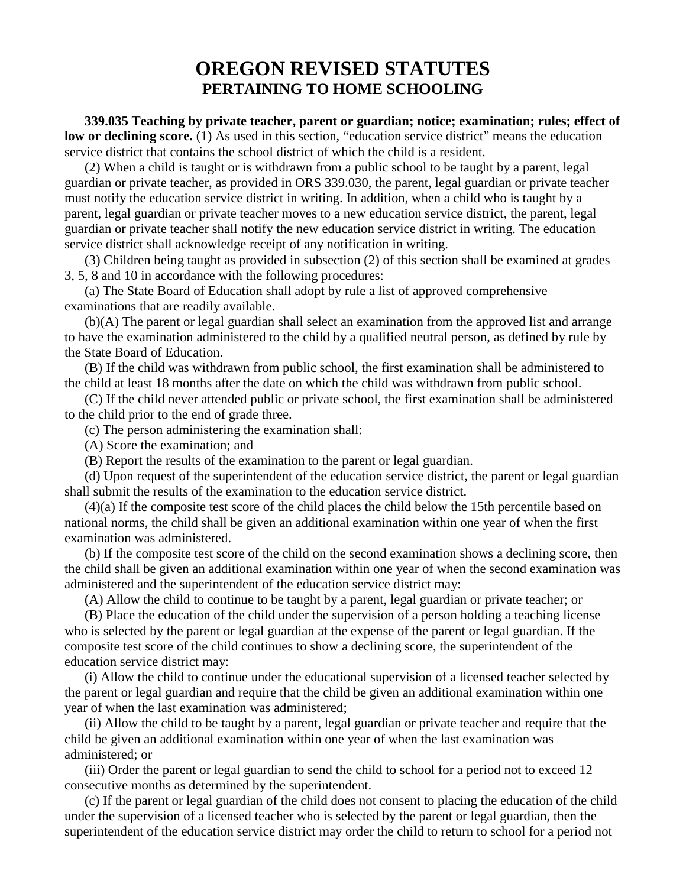## **OREGON REVISED STATUTES PERTAINING TO HOME SCHOOLING**

**339.035 Teaching by private teacher, parent or guardian; notice; examination; rules; effect of low or declining score.** (1) As used in this section, "education service district" means the education service district that contains the school district of which the child is a resident.

(2) When a child is taught or is withdrawn from a public school to be taught by a parent, legal guardian or private teacher, as provided in ORS 339.030, the parent, legal guardian or private teacher must notify the education service district in writing. In addition, when a child who is taught by a parent, legal guardian or private teacher moves to a new education service district, the parent, legal guardian or private teacher shall notify the new education service district in writing. The education service district shall acknowledge receipt of any notification in writing.

(3) Children being taught as provided in subsection (2) of this section shall be examined at grades 3, 5, 8 and 10 in accordance with the following procedures:

(a) The State Board of Education shall adopt by rule a list of approved comprehensive examinations that are readily available.

(b)(A) The parent or legal guardian shall select an examination from the approved list and arrange to have the examination administered to the child by a qualified neutral person, as defined by rule by the State Board of Education.

(B) If the child was withdrawn from public school, the first examination shall be administered to the child at least 18 months after the date on which the child was withdrawn from public school.

(C) If the child never attended public or private school, the first examination shall be administered to the child prior to the end of grade three.

(c) The person administering the examination shall:

(A) Score the examination; and

(B) Report the results of the examination to the parent or legal guardian.

(d) Upon request of the superintendent of the education service district, the parent or legal guardian shall submit the results of the examination to the education service district.

(4)(a) If the composite test score of the child places the child below the 15th percentile based on national norms, the child shall be given an additional examination within one year of when the first examination was administered.

(b) If the composite test score of the child on the second examination shows a declining score, then the child shall be given an additional examination within one year of when the second examination was administered and the superintendent of the education service district may:

(A) Allow the child to continue to be taught by a parent, legal guardian or private teacher; or

(B) Place the education of the child under the supervision of a person holding a teaching license who is selected by the parent or legal guardian at the expense of the parent or legal guardian. If the composite test score of the child continues to show a declining score, the superintendent of the education service district may:

(i) Allow the child to continue under the educational supervision of a licensed teacher selected by the parent or legal guardian and require that the child be given an additional examination within one year of when the last examination was administered;

(ii) Allow the child to be taught by a parent, legal guardian or private teacher and require that the child be given an additional examination within one year of when the last examination was administered; or

(iii) Order the parent or legal guardian to send the child to school for a period not to exceed 12 consecutive months as determined by the superintendent.

(c) If the parent or legal guardian of the child does not consent to placing the education of the child under the supervision of a licensed teacher who is selected by the parent or legal guardian, then the superintendent of the education service district may order the child to return to school for a period not